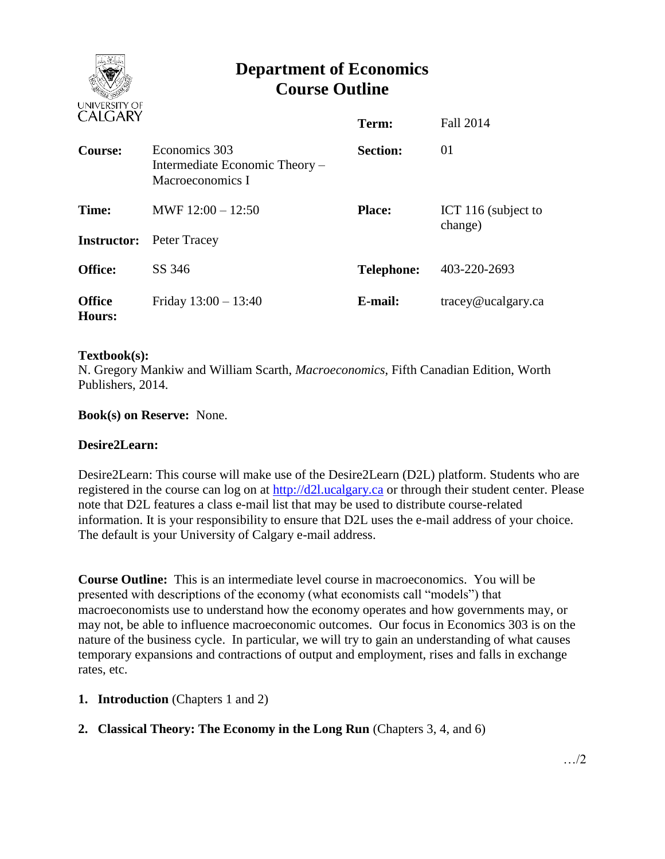

# **Department of Economics Course Outline**

| CALUANI                     |                                                                     | Term:             | <b>Fall 2014</b>               |
|-----------------------------|---------------------------------------------------------------------|-------------------|--------------------------------|
| Course:                     | Economics 303<br>Intermediate Economic Theory –<br>Macroeconomics I | <b>Section:</b>   | 01                             |
| Time:<br><b>Instructor:</b> | MWF $12:00 - 12:50$<br>Peter Tracey                                 | <b>Place:</b>     | ICT 116 (subject to<br>change) |
| <b>Office:</b>              | SS 346                                                              | <b>Telephone:</b> | 403-220-2693                   |
| <b>Office</b><br>Hours:     | Friday $13:00 - 13:40$                                              | E-mail:           | $trace\$ <i>e</i> ucalgary.ca  |

#### **Textbook(s):**

N. Gregory Mankiw and William Scarth, *Macroeconomics*, Fifth Canadian Edition, Worth Publishers, 2014.

**Book(s) on Reserve:** None.

#### **Desire2Learn:**

Desire2Learn: This course will make use of the Desire2Learn (D2L) platform. Students who are registered in the course can log on at [http://d2l.ucalgary.ca](http://d2l.ucalgary.ca/) or through their student center. Please note that D2L features a class e-mail list that may be used to distribute course-related information. It is your responsibility to ensure that D2L uses the e-mail address of your choice. The default is your University of Calgary e-mail address.

**Course Outline:** This is an intermediate level course in macroeconomics. You will be presented with descriptions of the economy (what economists call "models") that macroeconomists use to understand how the economy operates and how governments may, or may not, be able to influence macroeconomic outcomes. Our focus in Economics 303 is on the nature of the business cycle. In particular, we will try to gain an understanding of what causes temporary expansions and contractions of output and employment, rises and falls in exchange rates, etc.

- **1. Introduction** (Chapters 1 and 2)
- **2. Classical Theory: The Economy in the Long Run** (Chapters 3, 4, and 6)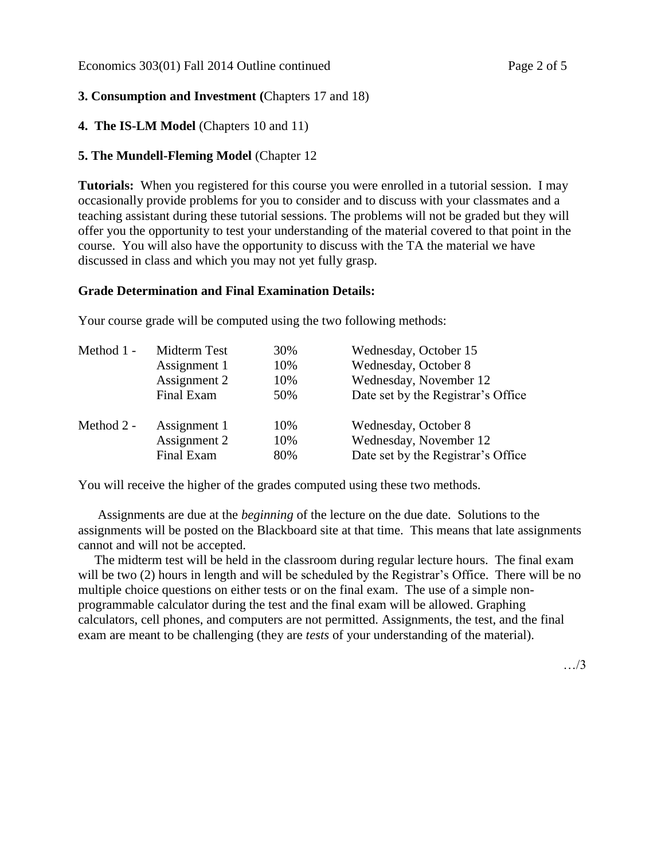# **3. Consumption and Investment (**Chapters 17 and 18)

## **4. The IS-LM Model** (Chapters 10 and 11)

# **5. The Mundell-Fleming Model** (Chapter 12

**Tutorials:** When you registered for this course you were enrolled in a tutorial session. I may occasionally provide problems for you to consider and to discuss with your classmates and a teaching assistant during these tutorial sessions. The problems will not be graded but they will offer you the opportunity to test your understanding of the material covered to that point in the course. You will also have the opportunity to discuss with the TA the material we have discussed in class and which you may not yet fully grasp.

## **Grade Determination and Final Examination Details:**

Your course grade will be computed using the two following methods:

| Method 1 - | Midterm Test | 30% | Wednesday, October 15              |  |
|------------|--------------|-----|------------------------------------|--|
|            | Assignment 1 | 10% | Wednesday, October 8               |  |
|            | Assignment 2 | 10% | Wednesday, November 12             |  |
|            | Final Exam   | 50% | Date set by the Registrar's Office |  |
| Method 2 - | Assignment 1 | 10% | Wednesday, October 8               |  |
|            | Assignment 2 | 10% | Wednesday, November 12             |  |
|            | Final Exam   | 80% | Date set by the Registrar's Office |  |

You will receive the higher of the grades computed using these two methods.

 Assignments are due at the *beginning* of the lecture on the due date. Solutions to the assignments will be posted on the Blackboard site at that time. This means that late assignments cannot and will not be accepted.

 The midterm test will be held in the classroom during regular lecture hours. The final exam will be two (2) hours in length and will be scheduled by the Registrar's Office. There will be no multiple choice questions on either tests or on the final exam. The use of a simple nonprogrammable calculator during the test and the final exam will be allowed. Graphing calculators, cell phones, and computers are not permitted. Assignments, the test, and the final exam are meant to be challenging (they are *tests* of your understanding of the material).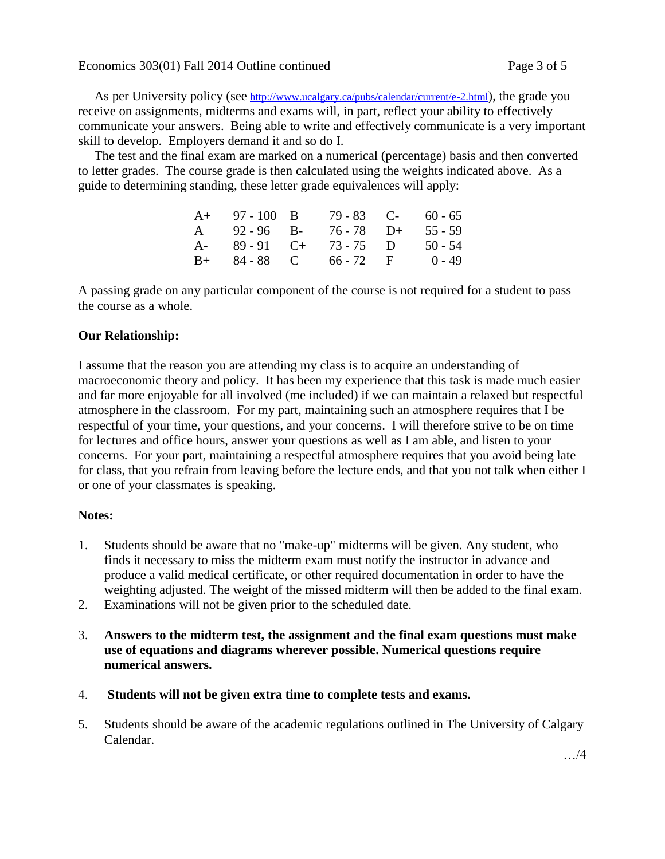As per University policy (see <http://www.ucalgary.ca/pubs/calendar/current/e-2.html>), the grade you receive on assignments, midterms and exams will, in part, reflect your ability to effectively communicate your answers. Being able to write and effectively communicate is a very important skill to develop. Employers demand it and so do I.

 The test and the final exam are marked on a numerical (percentage) basis and then converted to letter grades. The course grade is then calculated using the weights indicated above. As a guide to determining standing, these letter grade equivalences will apply:

|      | $A+ 97-100 B$    |                        | $79 - 83$ C- 60 - 65 |
|------|------------------|------------------------|----------------------|
|      | $A = 92 - 96$ B- | $76 - 78$ D+           | $55 - 59$            |
| $A-$ | $89 - 91$ C+     | 73 - 75 D              | $50 - 54$            |
|      |                  | $B+ 84-88$ C 66 - 72 F | 0 - 49               |

A passing grade on any particular component of the course is not required for a student to pass the course as a whole.

## **Our Relationship:**

I assume that the reason you are attending my class is to acquire an understanding of macroeconomic theory and policy. It has been my experience that this task is made much easier and far more enjoyable for all involved (me included) if we can maintain a relaxed but respectful atmosphere in the classroom. For my part, maintaining such an atmosphere requires that I be respectful of your time, your questions, and your concerns. I will therefore strive to be on time for lectures and office hours, answer your questions as well as I am able, and listen to your concerns. For your part, maintaining a respectful atmosphere requires that you avoid being late for class, that you refrain from leaving before the lecture ends, and that you not talk when either I or one of your classmates is speaking.

#### **Notes:**

- 1. Students should be aware that no "make-up" midterms will be given. Any student, who finds it necessary to miss the midterm exam must notify the instructor in advance and produce a valid medical certificate, or other required documentation in order to have the weighting adjusted. The weight of the missed midterm will then be added to the final exam.
- 2. Examinations will not be given prior to the scheduled date.
- 3. **Answers to the midterm test, the assignment and the final exam questions must make use of equations and diagrams wherever possible. Numerical questions require numerical answers.**
- 4. **Students will not be given extra time to complete tests and exams.**
- 5. Students should be aware of the academic regulations outlined in The University of Calgary Calendar.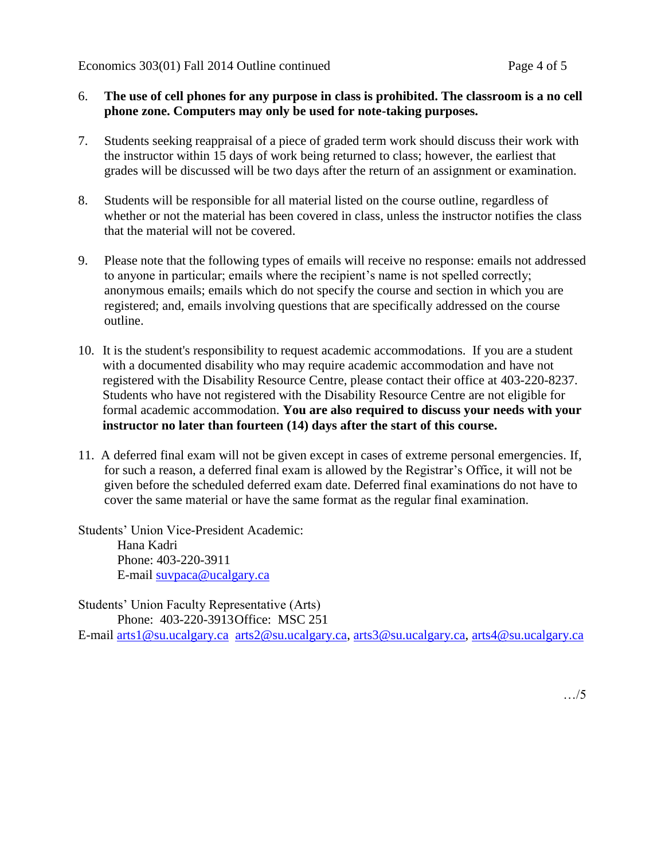## 6. **The use of cell phones for any purpose in class is prohibited. The classroom is a no cell phone zone. Computers may only be used for note-taking purposes.**

- 7. Students seeking reappraisal of a piece of graded term work should discuss their work with the instructor within 15 days of work being returned to class; however, the earliest that grades will be discussed will be two days after the return of an assignment or examination.
- 8. Students will be responsible for all material listed on the course outline, regardless of whether or not the material has been covered in class, unless the instructor notifies the class that the material will not be covered.
- 9. Please note that the following types of emails will receive no response: emails not addressed to anyone in particular; emails where the recipient's name is not spelled correctly; anonymous emails; emails which do not specify the course and section in which you are registered; and, emails involving questions that are specifically addressed on the course outline.
- 10. It is the student's responsibility to request academic accommodations. If you are a student with a documented disability who may require academic accommodation and have not registered with the Disability Resource Centre, please contact their office at 403-220-8237. Students who have not registered with the Disability Resource Centre are not eligible for formal academic accommodation. **You are also required to discuss your needs with your instructor no later than fourteen (14) days after the start of this course.**
- 11. A deferred final exam will not be given except in cases of extreme personal emergencies. If, for such a reason, a deferred final exam is allowed by the Registrar's Office, it will not be given before the scheduled deferred exam date. Deferred final examinations do not have to cover the same material or have the same format as the regular final examination.

Students' Union Vice-President Academic:

Hana Kadri Phone: 403-220-3911 E-mail [suvpaca@ucalgary.ca](mailto:subpaca@ucalgary.ca)

Students' Union Faculty Representative (Arts) Phone: 403-220-3913Office: MSC 251

E-mail [arts1@su.ucalgary.ca](mailto:arts1@su.ucalgary.ca) [arts2@su.ucalgary.ca,](mailto:arts2@su.ucalgary.ca) [arts3@su.ucalgary.ca,](mailto:arts3@su.ucalgary.ca) [arts4@su.ucalgary.ca](mailto:arts4@su.ucalgary.ca)